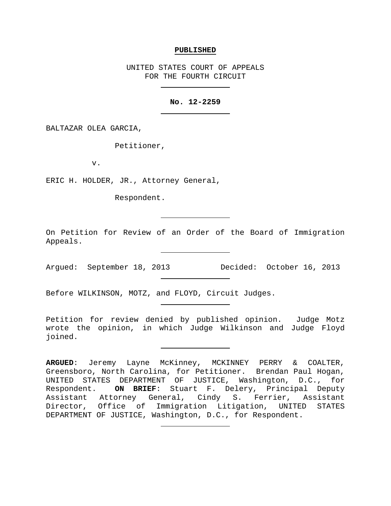### **PUBLISHED**

UNITED STATES COURT OF APPEALS FOR THE FOURTH CIRCUIT

# **No. 12-2259**

BALTAZAR OLEA GARCIA,

Petitioner,

v.

ERIC H. HOLDER, JR., Attorney General,

Respondent.

On Petition for Review of an Order of the Board of Immigration Appeals.

Argued: September 18, 2013 Decided: October 16, 2013

Before WILKINSON, MOTZ, and FLOYD, Circuit Judges.

Petition for review denied by published opinion. Judge Motz wrote the opinion, in which Judge Wilkinson and Judge Floyd joined.

**ARGUED**: Jeremy Layne McKinney, MCKINNEY PERRY & COALTER, Greensboro, North Carolina, for Petitioner. Brendan Paul Hogan, UNITED STATES DEPARTMENT OF JUSTICE, Washington, D.C., for Respondent. **ON BRIEF**: Stuart F. Delery, Principal Deputy Assistant Attorney General, Cindy S. Ferrier, Assistant Director, Office of Immigration Litigation, UNITED STATES DEPARTMENT OF JUSTICE, Washington, D.C., for Respondent.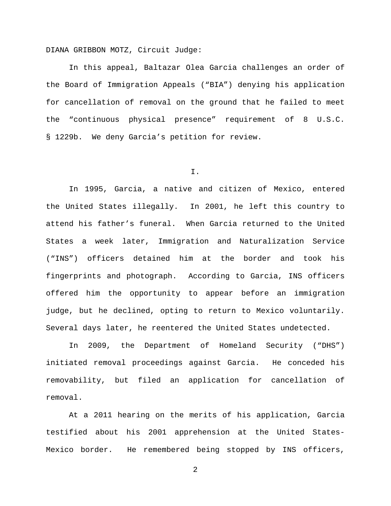DIANA GRIBBON MOTZ, Circuit Judge:

In this appeal, Baltazar Olea Garcia challenges an order of the Board of Immigration Appeals ("BIA") denying his application for cancellation of removal on the ground that he failed to meet the "continuous physical presence" requirement of 8 U.S.C. § 1229b. We deny Garcia's petition for review.

I.

In 1995, Garcia, a native and citizen of Mexico, entered the United States illegally. In 2001, he left this country to attend his father's funeral. When Garcia returned to the United States a week later, Immigration and Naturalization Service ("INS") officers detained him at the border and took his fingerprints and photograph. According to Garcia, INS officers offered him the opportunity to appear before an immigration judge, but he declined, opting to return to Mexico voluntarily. Several days later, he reentered the United States undetected.

In 2009, the Department of Homeland Security ("DHS") initiated removal proceedings against Garcia. He conceded his removability, but filed an application for cancellation of removal.

At a 2011 hearing on the merits of his application, Garcia testified about his 2001 apprehension at the United States-Mexico border. He remembered being stopped by INS officers,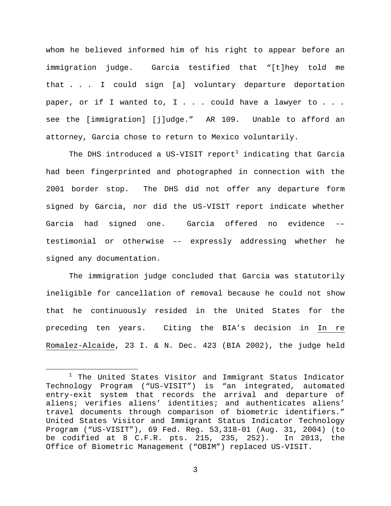whom he believed informed him of his right to appear before an immigration judge. Garcia testified that "[t]hey told me that . . . I could sign [a] voluntary departure deportation paper, or if I wanted to, I . . . could have a lawyer to . . . see the [immigration] [j]udge." AR 109. Unable to afford an attorney, Garcia chose to return to Mexico voluntarily.

The DHS introduced a US-VISIT report<sup>[1](#page-2-0)</sup> indicating that Garcia had been fingerprinted and photographed in connection with the 2001 border stop. The DHS did not offer any departure form signed by Garcia, nor did the US-VISIT report indicate whether Garcia had signed one. Garcia offered no evidence -– testimonial or otherwise –- expressly addressing whether he signed any documentation.

The immigration judge concluded that Garcia was statutorily ineligible for cancellation of removal because he could not show that he continuously resided in the United States for the preceding ten years. Citing the BIA's decision in In re Romalez-Alcaide, 23 I. & N. Dec. 423 (BIA 2002), the judge held

<span id="page-2-0"></span> $1$  The United States Visitor and Immigrant Status Indicator Technology Program ("US-VISIT") is "an integrated, automated entry-exit system that records the arrival and departure of aliens; verifies aliens' identities; and authenticates aliens' travel documents through comparison of biometric identifiers." United States Visitor and Immigrant Status Indicator Technology Program ("US-VISIT"), 69 Fed. Reg. 53,318-01 (Aug. 31, 2004) (to be codified at 8 C.F.R. pts.  $215, 235, 252$ ). Office of Biometric Management ("OBIM") replaced US-VISIT.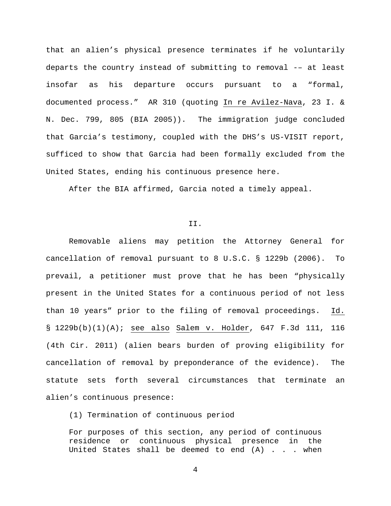that an alien's physical presence terminates if he voluntarily departs the country instead of submitting to removal -– at least insofar as his departure occurs pursuant to a "formal, documented process." AR 310 (quoting In re Avilez-Nava, 23 I. & N. Dec. 799, 805 (BIA 2005)). The immigration judge concluded that Garcia's testimony, coupled with the DHS's US-VISIT report, sufficed to show that Garcia had been formally excluded from the United States, ending his continuous presence here.

After the BIA affirmed, Garcia noted a timely appeal.

### II.

Removable aliens may petition the Attorney General for cancellation of removal pursuant to 8 U.S.C. § 1229b (2006). To prevail, a petitioner must prove that he has been "physically present in the United States for a continuous period of not less than 10 years" prior to the filing of removal proceedings. Id. § 1229b(b)(1)(A); see also Salem v. Holder, 647 F.3d 111, 116 (4th Cir. 2011) (alien bears burden of proving eligibility for cancellation of removal by preponderance of the evidence). The statute sets forth several circumstances that terminate an alien's continuous presence:

(1) Termination of continuous period

For purposes of this section, any period of continuous residence or continuous physical presence in the United States shall be deemed to end (A) . . . when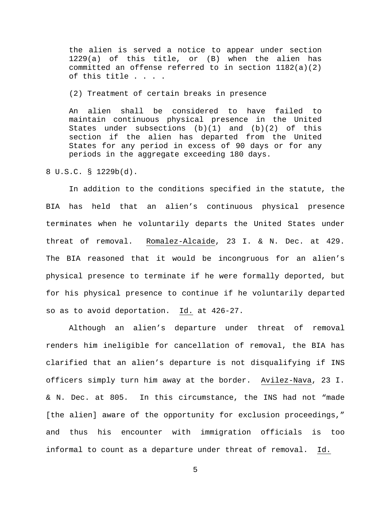the alien is served a notice to appear under section 1229(a) of this title, or (B) when the alien has committed an offense referred to in section  $1182(a)(2)$ of this title . . . .

(2) Treatment of certain breaks in presence

An alien shall be considered to have failed to maintain continuous physical presence in the United States under subsections  $(b)(1)$  and  $(b)(2)$  of this section if the alien has departed from the United States for any period in excess of 90 days or for any periods in the aggregate exceeding 180 days.

8 U.S.C. § 1229b(d).

In addition to the conditions specified in the statute, the BIA has held that an alien's continuous physical presence terminates when he voluntarily departs the United States under threat of removal. Romalez-Alcaide, 23 I. & N. Dec. at 429. The BIA reasoned that it would be incongruous for an alien's physical presence to terminate if he were formally deported, but for his physical presence to continue if he voluntarily departed so as to avoid deportation. Id. at 426-27.

Although an alien's departure under threat of removal renders him ineligible for cancellation of removal, the BIA has clarified that an alien's departure is not disqualifying if INS officers simply turn him away at the border. Avilez-Nava, 23 I. & N. Dec. at 805. In this circumstance, the INS had not "made [the alien] aware of the opportunity for exclusion proceedings," and thus his encounter with immigration officials is too informal to count as a departure under threat of removal. Id.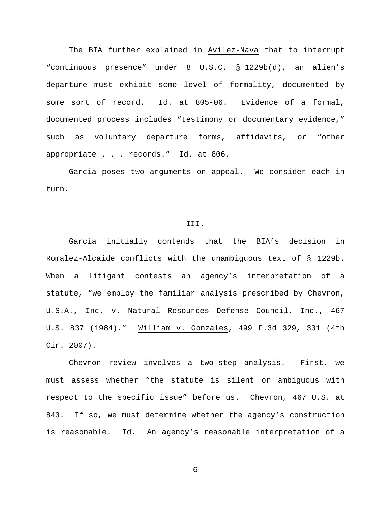The BIA further explained in Avilez-Nava that to interrupt "continuous presence" under 8 U.S.C. § 1229b(d), an alien's departure must exhibit some level of formality, documented by some sort of record. Id. at 805-06. Evidence of a formal, documented process includes "testimony or documentary evidence," such as voluntary departure forms, affidavits, or "other appropriate  $\ldots$  records."  $\underline{Id.}$  at 806.

Garcia poses two arguments on appeal. We consider each in turn.

#### III.

Garcia initially contends that the BIA's decision in Romalez-Alcaide conflicts with the unambiguous text of § 1229b. When a litigant contests an agency's interpretation of a statute, "we employ the familiar analysis prescribed by Chevron, U.S.A., Inc. v. Natural Resources Defense Council, Inc., 467 U.S. 837 (1984)." William v. Gonzales, 499 F.3d 329, 331 (4th Cir. 2007).

Chevron review involves a two-step analysis. First, we must assess whether "the statute is silent or ambiguous with respect to the specific issue" before us. Chevron, 467 U.S. at 843. If so, we must determine whether the agency's construction is reasonable. Id. An agency's reasonable interpretation of a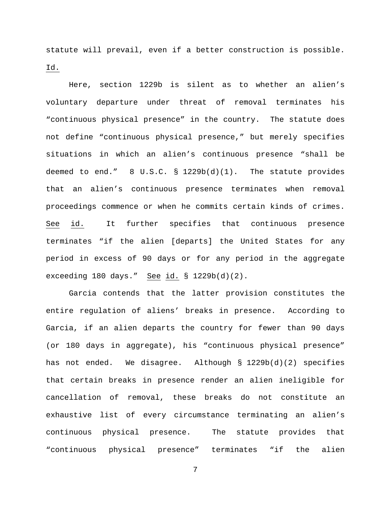statute will prevail, even if a better construction is possible. Id.

Here, section 1229b is silent as to whether an alien's voluntary departure under threat of removal terminates his "continuous physical presence" in the country. The statute does not define "continuous physical presence," but merely specifies situations in which an alien's continuous presence "shall be deemed to end." 8 U.S.C. § 1229b(d)(1). The statute provides that an alien's continuous presence terminates when removal proceedings commence or when he commits certain kinds of crimes. See id. It further specifies that continuous presence terminates "if the alien [departs] the United States for any period in excess of 90 days or for any period in the aggregate exceeding 180 days." See id. § 1229b(d)(2).

Garcia contends that the latter provision constitutes the entire regulation of aliens' breaks in presence. According to Garcia, if an alien departs the country for fewer than 90 days (or 180 days in aggregate), his "continuous physical presence" has not ended. We disagree. Although § 1229b(d)(2) specifies that certain breaks in presence render an alien ineligible for cancellation of removal, these breaks do not constitute an exhaustive list of every circumstance terminating an alien's continuous physical presence. The statute provides that "continuous physical presence" terminates "if the alien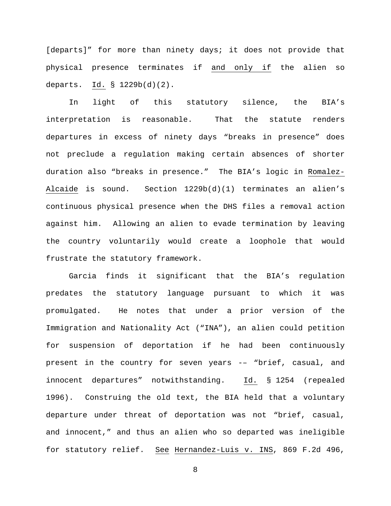[departs]" for more than ninety days; it does not provide that physical presence terminates if and only if the alien so departs. Id. § 1229b(d)(2).

In light of this statutory silence, the BIA's interpretation is reasonable. That the statute renders departures in excess of ninety days "breaks in presence" does not preclude a regulation making certain absences of shorter duration also "breaks in presence." The BIA's logic in Romalez-Alcaide is sound. Section 1229b(d)(1) terminates an alien's continuous physical presence when the DHS files a removal action against him. Allowing an alien to evade termination by leaving the country voluntarily would create a loophole that would frustrate the statutory framework.

Garcia finds it significant that the BIA's regulation predates the statutory language pursuant to which it was promulgated. He notes that under a prior version of the Immigration and Nationality Act ("INA"), an alien could petition for suspension of deportation if he had been continuously present in the country for seven years -– "brief, casual, and innocent departures" notwithstanding. Id. § 1254 (repealed 1996). Construing the old text, the BIA held that a voluntary departure under threat of deportation was not "brief, casual, and innocent," and thus an alien who so departed was ineligible for statutory relief. See Hernandez-Luis v. INS, 869 F.2d 496,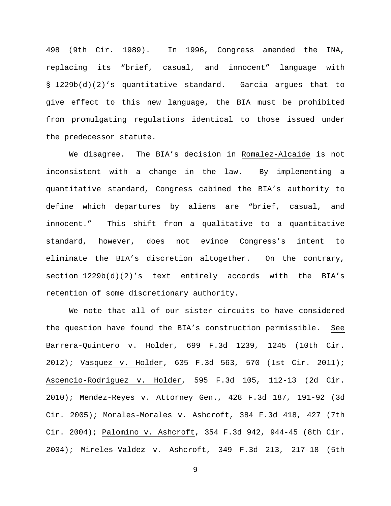498 (9th Cir. 1989). In 1996, Congress amended the INA, replacing its "brief, casual, and innocent" language with § 1229b(d)(2)'s quantitative standard. Garcia argues that to give effect to this new language, the BIA must be prohibited from promulgating regulations identical to those issued under the predecessor statute.

We disagree. The BIA's decision in Romalez-Alcaide is not inconsistent with a change in the law. By implementing a quantitative standard, Congress cabined the BIA's authority to define which departures by aliens are "brief, casual, and innocent." This shift from a qualitative to a quantitative standard, however, does not evince Congress's intent to eliminate the BIA's discretion altogether. On the contrary, section 1229b(d)(2)'s text entirely accords with the BIA's retention of some discretionary authority.

We note that all of our sister circuits to have considered the question have found the BIA's construction permissible. See Barrera-Quintero v. Holder, 699 F.3d 1239, 1245 (10th Cir. 2012); Vasquez v. Holder, 635 F.3d 563, 570 (1st Cir. 2011); Ascencio-Rodriguez v. Holder, 595 F.3d 105, 112-13 (2d Cir. 2010); Mendez-Reyes v. Attorney Gen., 428 F.3d 187, 191-92 (3d Cir. 2005); Morales-Morales v. Ashcroft, 384 F.3d 418, 427 (7th Cir. 2004); Palomino v. Ashcroft, 354 F.3d 942, 944-45 (8th Cir. 2004); Mireles-Valdez v. Ashcroft, 349 F.3d 213, 217-18 (5th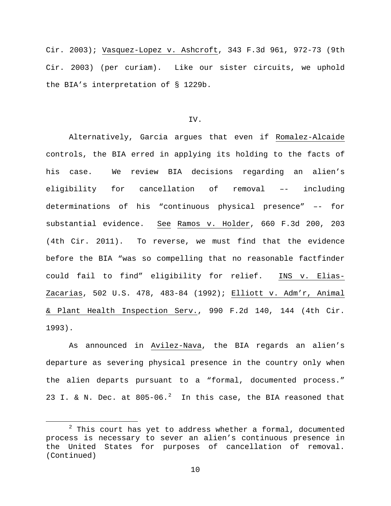Cir. 2003); Vasquez-Lopez v. Ashcroft, 343 F.3d 961, 972-73 (9th Cir. 2003) (per curiam). Like our sister circuits, we uphold the BIA's interpretation of § 1229b.

# IV.

Alternatively, Garcia argues that even if Romalez-Alcaide controls, the BIA erred in applying its holding to the facts of his case. We review BIA decisions regarding an alien's eligibility for cancellation of removal –- including determinations of his "continuous physical presence" –- for substantial evidence. See Ramos v. Holder, 660 F.3d 200, 203 (4th Cir. 2011). To reverse, we must find that the evidence before the BIA "was so compelling that no reasonable factfinder could fail to find" eligibility for relief. INS v. Elias-Zacarias, 502 U.S. 478, 483-84 (1992); Elliott v. Adm'r, Animal & Plant Health Inspection Serv., 990 F.2d 140, 144 (4th Cir. 1993).

As announced in Avilez-Nava, the BIA regards an alien's departure as severing physical presence in the country only when the alien departs pursuant to a "formal, documented process." [2](#page-9-0)3 I. & N. Dec. at  $805-06.^2$  In this case, the BIA reasoned that

<span id="page-9-0"></span> $2$  This court has yet to address whether a formal, documented process is necessary to sever an alien's continuous presence in the United States for purposes of cancellation of removal. (Continued)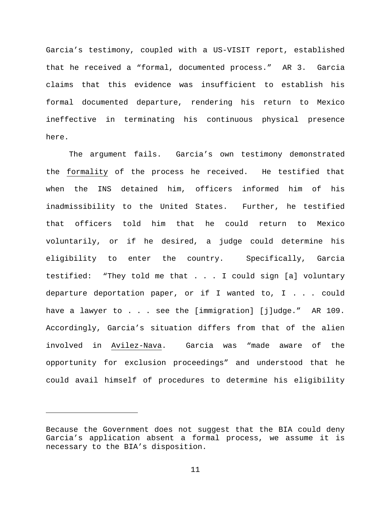Garcia's testimony, coupled with a US-VISIT report, established that he received a "formal, documented process." AR 3. Garcia claims that this evidence was insufficient to establish his formal documented departure, rendering his return to Mexico ineffective in terminating his continuous physical presence here.

The argument fails. Garcia's own testimony demonstrated the formality of the process he received. He testified that when the INS detained him, officers informed him of his inadmissibility to the United States. Further, he testified that officers told him that he could return to Mexico voluntarily, or if he desired, a judge could determine his eligibility to enter the country. Specifically, Garcia testified: "They told me that . . . I could sign [a] voluntary departure deportation paper, or if I wanted to, I . . . could have a lawyer to . . . see the [immigration] [j]udge." AR 109. Accordingly, Garcia's situation differs from that of the alien involved in Avilez-Nava. Garcia was "made aware of the opportunity for exclusion proceedings" and understood that he could avail himself of procedures to determine his eligibility

Ĩ.

Because the Government does not suggest that the BIA could deny Garcia's application absent a formal process, we assume it is necessary to the BIA's disposition.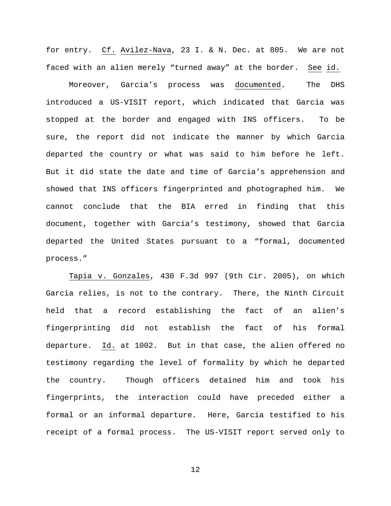for entry. Cf. Avilez-Nava, 23 I. & N. Dec. at 805. We are not faced with an alien merely "turned away" at the border. See id.

Moreover, Garcia's process was documented. The DHS introduced a US-VISIT report, which indicated that Garcia was stopped at the border and engaged with INS officers. To be sure, the report did not indicate the manner by which Garcia departed the country or what was said to him before he left. But it did state the date and time of Garcia's apprehension and showed that INS officers fingerprinted and photographed him. We cannot conclude that the BIA erred in finding that this document, together with Garcia's testimony, showed that Garcia departed the United States pursuant to a "formal, documented process."

Tapia v. Gonzales, 430 F.3d 997 (9th Cir. 2005), on which Garcia relies, is not to the contrary. There, the Ninth Circuit held that a record establishing the fact of an alien's fingerprinting did not establish the fact of his formal departure. Id. at 1002. But in that case, the alien offered no testimony regarding the level of formality by which he departed the country. Though officers detained him and took his fingerprints, the interaction could have preceded either a formal or an informal departure. Here, Garcia testified to his receipt of a formal process. The US-VISIT report served only to